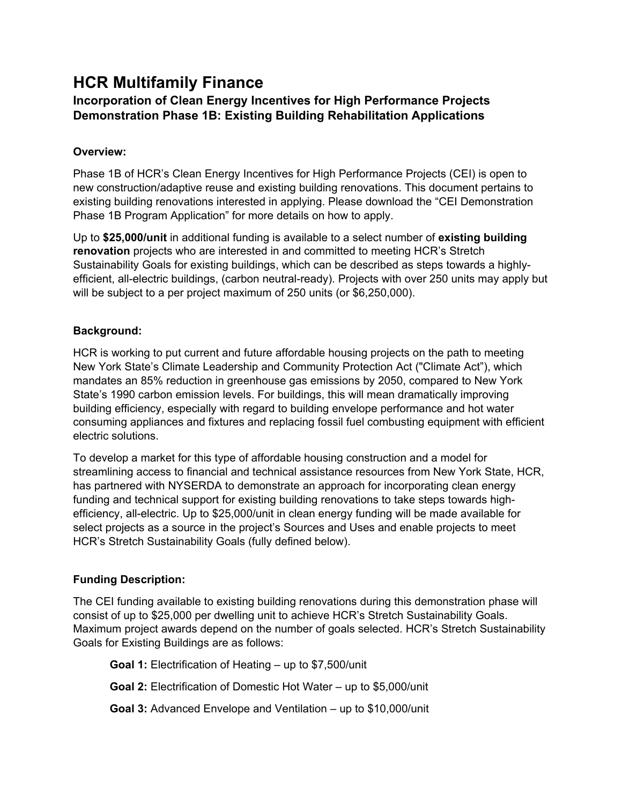# **HCR Multifamily Finance**

# **Incorporation of Clean Energy Incentives for High Performance Projects Demonstration Phase 1B: Existing Building Rehabilitation Applications**

# **Overview:**

Phase 1B of HCR's Clean Energy Incentives for High Performance Projects (CEI) is open to new construction/adaptive reuse and existing building renovations. This document pertains to existing building renovations interested in applying. Please download the "CEI Demonstration Phase 1B Program Application" for more details on how to apply.

Up to **\$25,000/unit** in additional funding is available to a select number of **existing building renovation** projects who are interested in and committed to meeting HCR's Stretch Sustainability Goals for existing buildings, which can be described as steps towards a highlyefficient, all-electric buildings, (carbon neutral-ready). Projects with over 250 units may apply but will be subject to a per project maximum of 250 units (or \$6,250,000).

## **Background:**

HCR is working to put current and future affordable housing projects on the path to meeting New York State's Climate Leadership and Community Protection Act ("Climate Act"), which mandates an 85% reduction in greenhouse gas emissions by 2050, compared to New York State's 1990 carbon emission levels. For buildings, this will mean dramatically improving building efficiency, especially with regard to building envelope performance and hot water consuming appliances and fixtures and replacing fossil fuel combusting equipment with efficient electric solutions.

To develop a market for this type of affordable housing construction and a model for streamlining access to financial and technical assistance resources from New York State, HCR, has partnered with NYSERDA to demonstrate an approach for incorporating clean energy funding and technical support for existing building renovations to take steps towards highefficiency, all-electric. Up to \$25,000/unit in clean energy funding will be made available for select projects as a source in the project's Sources and Uses and enable projects to meet HCR's Stretch Sustainability Goals (fully defined below).

# **Funding Description:**

The CEI funding available to existing building renovations during this demonstration phase will consist of up to \$25,000 per dwelling unit to achieve HCR's Stretch Sustainability Goals. Maximum project awards depend on the number of goals selected. HCR's Stretch Sustainability Goals for Existing Buildings are as follows:

**Goal 1:** Electrification of Heating – up to \$7,500/unit

**Goal 2:** Electrification of Domestic Hot Water – up to \$5,000/unit

**Goal 3:** Advanced Envelope and Ventilation – up to \$10,000/unit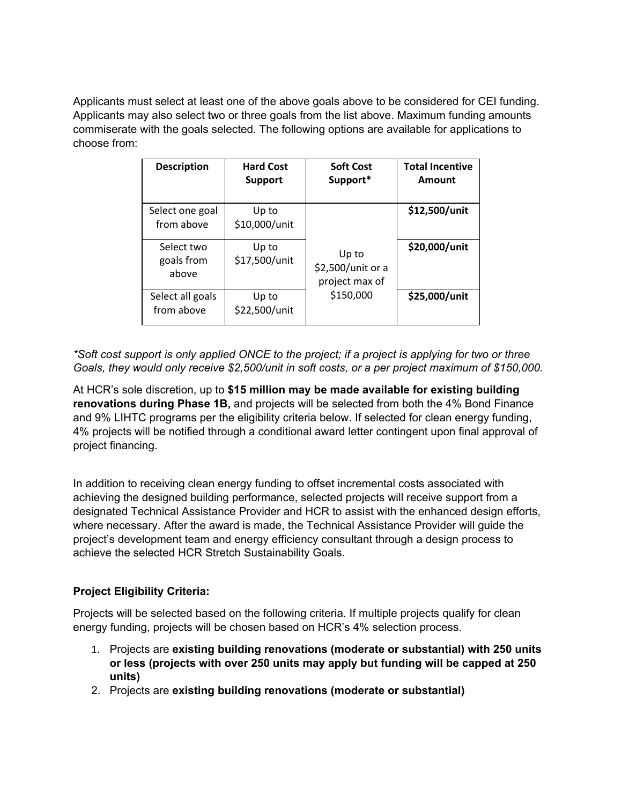Applicants must select at least one of the above goals above to be considered for CEI funding. Applicants may also select two or three goals from the list above. Maximum funding amounts commiserate with the goals selected. The following options are available for applications to choose from:

| <b>Description</b>                | <b>Hard Cost</b><br><b>Support</b> | <b>Soft Cost</b><br>Support*                 | <b>Total Incentive</b><br>Amount |
|-----------------------------------|------------------------------------|----------------------------------------------|----------------------------------|
| Select one goal<br>from above     | Up to<br>\$10,000/unit             |                                              | \$12,500/unit                    |
| Select two<br>goals from<br>above | Up to<br>\$17,500/unit             | Up to<br>\$2,500/unit or a<br>project max of | \$20,000/unit                    |
| Select all goals<br>from above    | Up to<br>\$22,500/unit             | \$150,000                                    | \$25,000/unit                    |

*\*Soft cost support is only applied ONCE to the project; if a project is applying for two or three Goals, they would only receive \$2,500/unit in soft costs, or a per project maximum of \$150,000.*

At HCR's sole discretion, up to **\$15 million may be made available for existing building renovations during Phase 1B,** and projects will be selected from both the 4% Bond Finance and 9% LIHTC programs per the eligibility criteria below. If selected for clean energy funding, 4% projects will be notified through a conditional award letter contingent upon final approval of project financing.

In addition to receiving clean energy funding to offset incremental costs associated with achieving the designed building performance, selected projects will receive support from a designated Technical Assistance Provider and HCR to assist with the enhanced design efforts, where necessary. After the award is made, the Technical Assistance Provider will guide the project's development team and energy efficiency consultant through a design process to achieve the selected HCR Stretch Sustainability Goals.

# **Project Eligibility Criteria:**

Projects will be selected based on the following criteria. If multiple projects qualify for clean energy funding, projects will be chosen based on HCR's 4% selection process.

- 1. Projects are **existing building renovations (moderate or substantial) with 250 units or less (projects with over 250 units may apply but funding will be capped at 250 units)**
- 2. Projects are **existing building renovations (moderate or substantial)**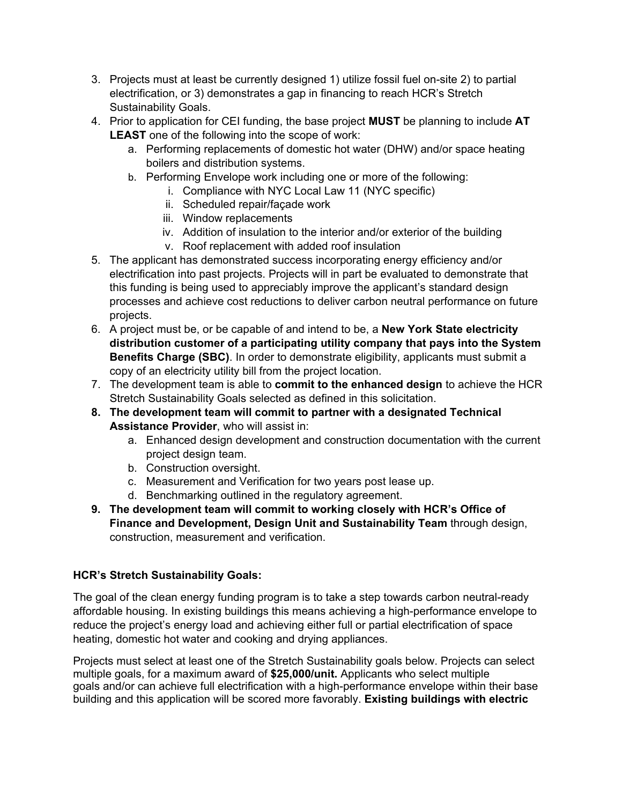- 3. Projects must at least be currently designed 1) utilize fossil fuel on-site 2) to partial electrification, or 3) demonstrates a gap in financing to reach HCR's Stretch Sustainability Goals.
- 4. Prior to application for CEI funding, the base project **MUST** be planning to include **AT LEAST** one of the following into the scope of work:
	- a. Performing replacements of domestic hot water (DHW) and/or space heating boilers and distribution systems.
	- b. Performing Envelope work including one or more of the following:
		- i. Compliance with NYC Local Law 11 (NYC specific)
		- ii. Scheduled repair/façade work
		- iii. Window replacements
		- iv. Addition of insulation to the interior and/or exterior of the building
		- v. Roof replacement with added roof insulation
- 5. The applicant has demonstrated success incorporating energy efficiency and/or electrification into past projects. Projects will in part be evaluated to demonstrate that this funding is being used to appreciably improve the applicant's standard design processes and achieve cost reductions to deliver carbon neutral performance on future projects.
- 6. A project must be, or be capable of and intend to be, a **New York State electricity distribution customer of a participating utility company that pays into the System Benefits Charge (SBC)**. In order to demonstrate eligibility, applicants must submit a copy of an electricity utility bill from the project location.
- 7. The development team is able to **commit to the enhanced design** to achieve the HCR Stretch Sustainability Goals selected as defined in this solicitation.
- **8. The development team will commit to partner with a designated Technical Assistance Provider**, who will assist in:
	- a. Enhanced design development and construction documentation with the current project design team.
	- b. Construction oversight.
	- c. Measurement and Verification for two years post lease up.
	- d. Benchmarking outlined in the regulatory agreement.
- **9. The development team will commit to working closely with HCR's Office of Finance and Development, Design Unit and Sustainability Team** through design, construction, measurement and verification.

# **HCR's Stretch Sustainability Goals:**

The goal of the clean energy funding program is to take a step towards carbon neutral-ready affordable housing. In existing buildings this means achieving a high-performance envelope to reduce the project's energy load and achieving either full or partial electrification of space heating, domestic hot water and cooking and drying appliances.

Projects must select at least one of the Stretch Sustainability goals below. Projects can select multiple goals, for a maximum award of **\$25,000/unit.** Applicants who select multiple goals and/or can achieve full electrification with a high-performance envelope within their base building and this application will be scored more favorably. **Existing buildings with electric**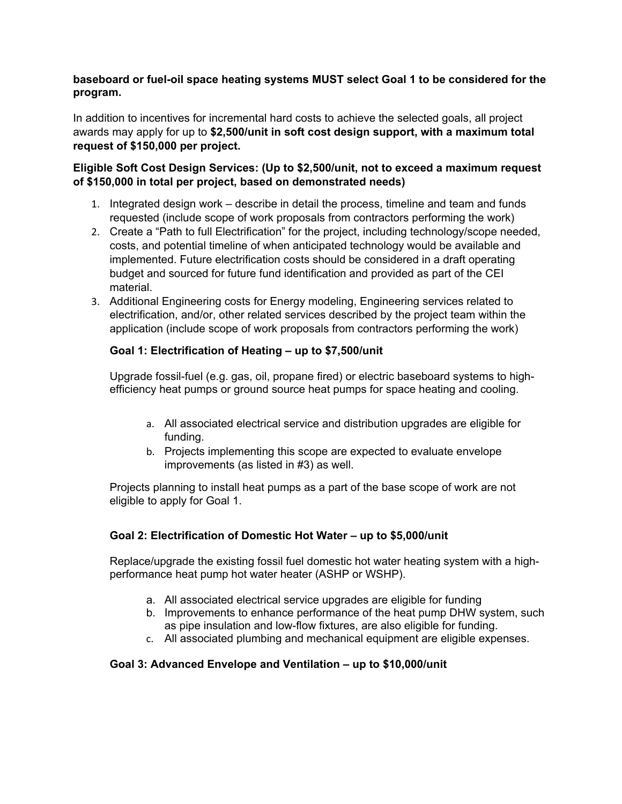#### **baseboard or fuel-oil space heating systems MUST select Goal 1 to be considered for the program.**

In addition to incentives for incremental hard costs to achieve the selected goals, all project awards may apply for up to **\$2,500/unit in soft cost design support, with a maximum total request of \$150,000 per project.**

## **Eligible Soft Cost Design Services: (Up to \$2,500/unit, not to exceed a maximum request of \$150,000 in total per project, based on demonstrated needs)**

- 1. Integrated design work describe in detail the process, timeline and team and funds requested (include scope of work proposals from contractors performing the work)
- 2. Create a "Path to full Electrification" for the project, including technology/scope needed, costs, and potential timeline of when anticipated technology would be available and implemented. Future electrification costs should be considered in a draft operating budget and sourced for future fund identification and provided as part of the CEI material.
- 3. Additional Engineering costs for Energy modeling, Engineering services related to electrification, and/or, other related services described by the project team within the application (include scope of work proposals from contractors performing the work)

## **Goal 1: Electrification of Heating – up to \$7,500/unit**

Upgrade fossil-fuel (e.g. gas, oil, propane fired) or electric baseboard systems to highefficiency heat pumps or ground source heat pumps for space heating and cooling.

- a. All associated electrical service and distribution upgrades are eligible for funding.
- b. Projects implementing this scope are expected to evaluate envelope improvements (as listed in #3) as well.

Projects planning to install heat pumps as a part of the base scope of work are not eligible to apply for Goal 1.

## **Goal 2: Electrification of Domestic Hot Water – up to \$5,000/unit**

Replace/upgrade the existing fossil fuel domestic hot water heating system with a highperformance heat pump hot water heater (ASHP or WSHP).

- a. All associated electrical service upgrades are eligible for funding
- b. Improvements to enhance performance of the heat pump DHW system, such as pipe insulation and low-flow fixtures, are also eligible for funding.
- c. All associated plumbing and mechanical equipment are eligible expenses.

## **Goal 3: Advanced Envelope and Ventilation – up to \$10,000/unit**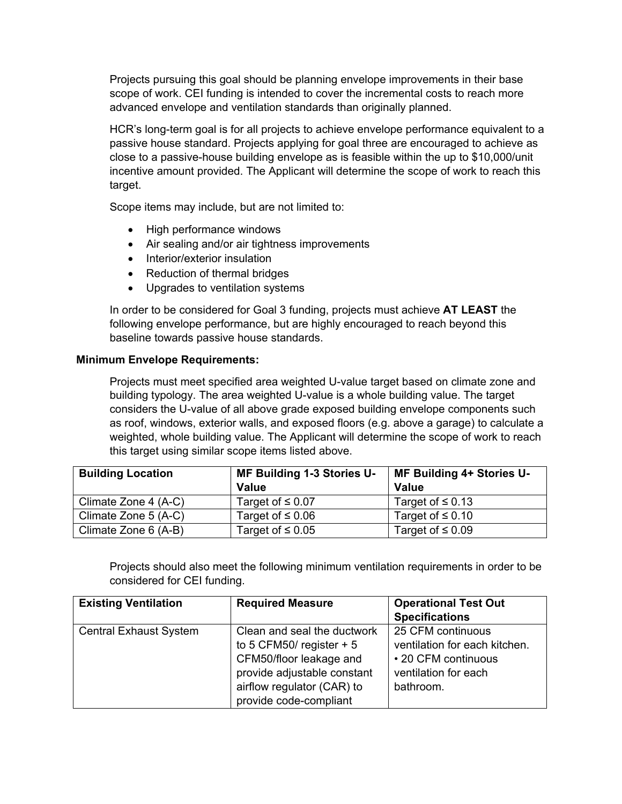Projects pursuing this goal should be planning envelope improvements in their base scope of work. CEI funding is intended to cover the incremental costs to reach more advanced envelope and ventilation standards than originally planned.

HCR's long-term goal is for all projects to achieve envelope performance equivalent to a passive house standard. Projects applying for goal three are encouraged to achieve as close to a passive-house building envelope as is feasible within the up to \$10,000/unit incentive amount provided. The Applicant will determine the scope of work to reach this target.

Scope items may include, but are not limited to:

- High performance windows
- Air sealing and/or air tightness improvements
- Interior/exterior insulation
- Reduction of thermal bridges
- Upgrades to ventilation systems

In order to be considered for Goal 3 funding, projects must achieve **AT LEAST** the following envelope performance, but are highly encouraged to reach beyond this baseline towards passive house standards.

#### **Minimum Envelope Requirements:**

Projects must meet specified area weighted U-value target based on climate zone and building typology. The area weighted U-value is a whole building value. The target considers the U-value of all above grade exposed building envelope components such as roof, windows, exterior walls, and exposed floors (e.g. above a garage) to calculate a weighted, whole building value. The Applicant will determine the scope of work to reach this target using similar scope items listed above.

| <b>Building Location</b> | MF Building 1-3 Stories U- | MF Building 4+ Stories U- |
|--------------------------|----------------------------|---------------------------|
|                          | <b>Value</b>               | Value                     |
| Climate Zone 4 (A-C)     | Target of $\leq 0.07$      | Target of $\leq 0.13$     |
| Climate Zone 5 (A-C)     | Target of $\leq 0.06$      | Target of $\leq 0.10$     |
| Climate Zone 6 (A-B)     | Target of $\leq 0.05$      | Target of $\leq 0.09$     |

Projects should also meet the following minimum ventilation requirements in order to be considered for CEI funding.

| <b>Existing Ventilation</b>   | <b>Required Measure</b>     | <b>Operational Test Out</b>   |
|-------------------------------|-----------------------------|-------------------------------|
|                               |                             | <b>Specifications</b>         |
| <b>Central Exhaust System</b> | Clean and seal the ductwork | 25 CFM continuous             |
|                               | to 5 CFM50/ register $+5$   | ventilation for each kitchen. |
|                               | CFM50/floor leakage and     | • 20 CFM continuous           |
|                               | provide adjustable constant | ventilation for each          |
|                               | airflow regulator (CAR) to  | bathroom.                     |
|                               | provide code-compliant      |                               |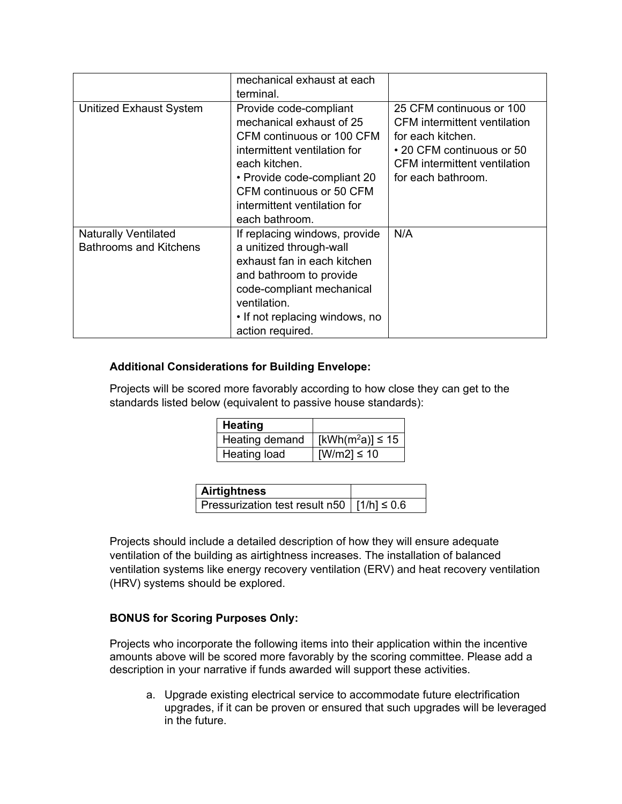|                                                              | mechanical exhaust at each<br>terminal.                                                                                                                                                                                                       |                                                                                                                                                                                |
|--------------------------------------------------------------|-----------------------------------------------------------------------------------------------------------------------------------------------------------------------------------------------------------------------------------------------|--------------------------------------------------------------------------------------------------------------------------------------------------------------------------------|
| <b>Unitized Exhaust System</b>                               | Provide code-compliant<br>mechanical exhaust of 25<br>CFM continuous or 100 CFM<br>intermittent ventilation for<br>each kitchen.<br>• Provide code-compliant 20<br>CFM continuous or 50 CFM<br>intermittent ventilation for<br>each bathroom. | 25 CFM continuous or 100<br><b>CFM</b> intermittent ventilation<br>for each kitchen.<br>• 20 CFM continuous or 50<br><b>CFM</b> intermittent ventilation<br>for each bathroom. |
| <b>Naturally Ventilated</b><br><b>Bathrooms and Kitchens</b> | If replacing windows, provide<br>a unitized through-wall<br>exhaust fan in each kitchen<br>and bathroom to provide<br>code-compliant mechanical<br>ventilation.<br>• If not replacing windows, no<br>action required.                         | N/A                                                                                                                                                                            |

#### **Additional Considerations for Building Envelope:**

Projects will be scored more favorably according to how close they can get to the standards listed below (equivalent to passive house standards):

| Heating             |                                   |
|---------------------|-----------------------------------|
| Heating demand      | [kWh(m <sup>2</sup> a)] $\leq 15$ |
| <b>Heating load</b> | [W/m2] ≤ 10                       |

| <b>Airtightness</b>                              |  |
|--------------------------------------------------|--|
| Pressurization test result n50   $[1/h] \le 0.6$ |  |

Projects should include a detailed description of how they will ensure adequate ventilation of the building as airtightness increases. The installation of balanced ventilation systems like energy recovery ventilation (ERV) and heat recovery ventilation (HRV) systems should be explored.

## **BONUS for Scoring Purposes Only:**

Projects who incorporate the following items into their application within the incentive amounts above will be scored more favorably by the scoring committee. Please add a description in your narrative if funds awarded will support these activities.

a. Upgrade existing electrical service to accommodate future electrification upgrades, if it can be proven or ensured that such upgrades will be leveraged in the future.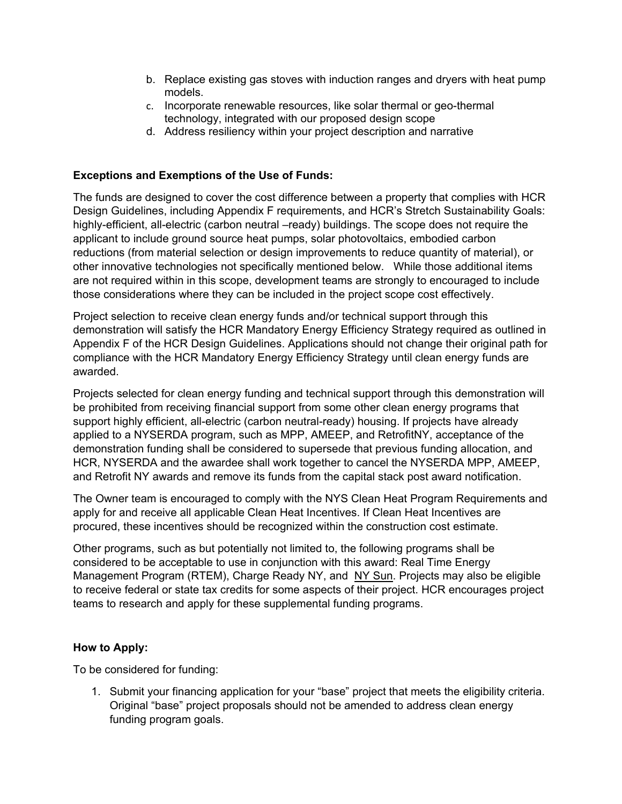- b. Replace existing gas stoves with induction ranges and dryers with heat pump models.
- c. Incorporate renewable resources, like solar thermal or geo-thermal technology, integrated with our proposed design scope
- d. Address resiliency within your project description and narrative

#### **Exceptions and Exemptions of the Use of Funds:**

The funds are designed to cover the cost difference between a property that complies with HCR Design Guidelines, including Appendix F requirements, and HCR's Stretch Sustainability Goals: highly-efficient, all-electric (carbon neutral –ready) buildings. The scope does not require the applicant to include ground source heat pumps, solar photovoltaics, embodied carbon reductions (from material selection or design improvements to reduce quantity of material), or other innovative technologies not specifically mentioned below. While those additional items are not required within in this scope, development teams are strongly to encouraged to include those considerations where they can be included in the project scope cost effectively.

Project selection to receive clean energy funds and/or technical support through this demonstration will satisfy the HCR Mandatory Energy Efficiency Strategy required as outlined in Appendix F of the HCR Design Guidelines. Applications should not change their original path for compliance with the HCR Mandatory Energy Efficiency Strategy until clean energy funds are awarded.

Projects selected for clean energy funding and technical support through this demonstration will be prohibited from receiving financial support from some other clean energy programs that support highly efficient, all-electric (carbon neutral-ready) housing. If projects have already applied to a NYSERDA program, such as MPP, AMEEP, and RetrofitNY, acceptance of the demonstration funding shall be considered to supersede that previous funding allocation, and HCR, NYSERDA and the awardee shall work together to cancel the NYSERDA MPP, AMEEP, and Retrofit NY awards and remove its funds from the capital stack post award notification.

The Owner team is encouraged to comply with the NYS Clean Heat Program Requirements and apply for and receive all applicable Clean Heat Incentives. If Clean Heat Incentives are procured, these incentives should be recognized within the construction cost estimate.

Other programs, such as but potentially not limited to, the following programs shall be considered to be acceptable to use in conjunction with this award: [Real Time Energy](https://www.nyserda.ny.gov/all-programs/programs/real-time-energy-management)  [Management Program \(RTEM\),](https://www.nyserda.ny.gov/all-programs/programs/real-time-energy-management) Charge Ready NY, and [NY Sun.](https://www.nyserda.ny.gov/all-programs/programs/ny-sun) Projects may also be eligible to receive federal or state tax credits for some aspects of their project. HCR encourages project teams to research and apply for these supplemental funding programs.

#### **How to Apply:**

To be considered for funding:

1. Submit your financing application for your "base" project that meets the eligibility criteria. Original "base" project proposals should not be amended to address clean energy funding program goals.